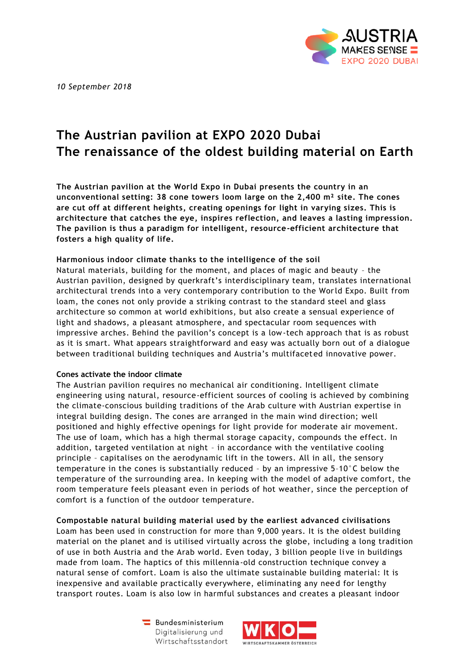

*10 September 2018*

# **The Austrian pavilion at EXPO 2020 Dubai The renaissance of the oldest building material on Earth**

**The Austrian pavilion at the World Expo in Dubai presents the country in an unconventional setting: 38 cone towers loom large on the 2,400 m² site. The cones are cut off at different heights, creating openings for light in varying sizes. This is architecture that catches the eye, inspires reflection, and leaves a lasting impression. The pavilion is thus a paradigm for intelligent, resource-efficient architecture that fosters a high quality of life.**

## **Harmonious indoor climate thanks to the intelligence of the soil**

Natural materials, building for the moment, and places of magic and beauty – the Austrian pavilion, designed by querkraft's interdisciplinary team, translates international architectural trends into a very contemporary contribution to the World Expo. Built from loam, the cones not only provide a striking contrast to the standard steel and glass architecture so common at world exhibitions, but also create a sensual experience of light and shadows, a pleasant atmosphere, and spectacular room sequences with impressive arches. Behind the pavilion's concept is a low-tech approach that is as robust as it is smart. What appears straightforward and easy was actually born out of a dialogue between traditional building techniques and Austria's multifaceted innovative power.

## **Cones activate the indoor climate**

The Austrian pavilion requires no mechanical air conditioning. Intelligent climate engineering using natural, resource-efficient sources of cooling is achieved by combining the climate-conscious building traditions of the Arab culture with Austrian expertise in integral building design. The cones are arranged in the main wind direction; well positioned and highly effective openings for light provide for moderate air movement. The use of loam, which has a high thermal storage capacity, compounds the effect. In addition, targeted ventilation at night – in accordance with the ventilative cooling principle – capitalises on the aerodynamic lift in the towers. All in all, the sensory temperature in the cones is substantially reduced – by an impressive 5–10°C below the temperature of the surrounding area. In keeping with the model of adaptive comfort, the room temperature feels pleasant even in periods of hot weather, since the perception of comfort is a function of the outdoor temperature.

## **Compostable natural building material used by the earliest advanced civilisations**

Loam has been used in construction for more than 9,000 years. It is the oldest building material on the planet and is utilised virtually across the globe, including a long tradition of use in both Austria and the Arab world. Even today, 3 billion people live in buildings made from loam. The haptics of this millennia-old construction technique convey a natural sense of comfort. Loam is also the ultimate sustainable building material: It is inexpensive and available practically everywhere, eliminating any need for lengthy transport routes. Loam is also low in harmful substances and creates a pleasant indoor

> Bundesministerium Digitalisierung und Wirtschaftsstandort

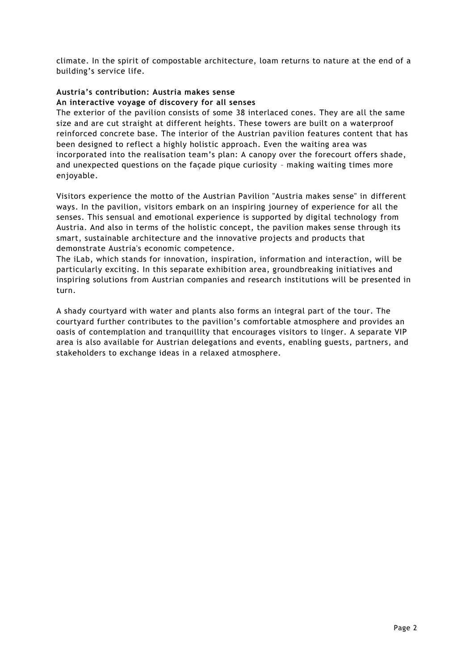climate. In the spirit of compostable architecture, loam returns to nature at the end of a building's service life.

## **Austria's contribution: Austria makes sense An interactive voyage of discovery for all senses**

The exterior of the pavilion consists of some 38 interlaced cones. They are all the same size and are cut straight at different heights. These towers are built on a waterproof reinforced concrete base. The interior of the Austrian pav ilion features content that has been designed to reflect a highly holistic approach. Even the waiting area was incorporated into the realisation team's plan: A canopy over the forecourt offers shade, and unexpected questions on the façade pique curiosity – making waiting times more enjoyable.

Visitors experience the motto of the Austrian Pavilion "Austria makes sense" in different ways. In the pavilion, visitors embark on an inspiring journey of experience for all the senses. This sensual and emotional experience is supported by digital technology from Austria. And also in terms of the holistic concept, the pavilion makes sense through its smart, sustainable architecture and the innovative projects and products that demonstrate Austria's economic competence.

The iLab, which stands for innovation, inspiration, information and interaction, will be particularly exciting. In this separate exhibition area, groundbreaking initiatives and inspiring solutions from Austrian companies and research institutions will be presented in turn.

A shady courtyard with water and plants also forms an integral part of the tour. The courtyard further contributes to the pavilion's comfortable atmosphere and provides an oasis of contemplation and tranquillity that encourages visitors to linger. A separate VIP area is also available for Austrian delegations and events, enabling guests, partners, and stakeholders to exchange ideas in a relaxed atmosphere.